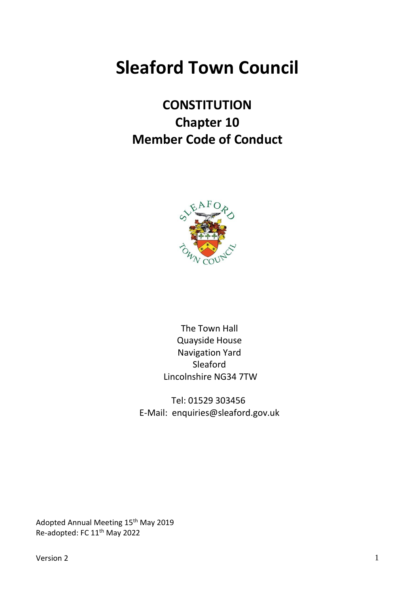# **Sleaford Town Council**

# **CONSTITUTION Chapter 10 Member Code of Conduct**



The Town Hall Quayside House Navigation Yard Sleaford Lincolnshire NG34 7TW

Tel: 01529 303456 E-Mail: enquiries@sleaford.gov.uk

Adopted Annual Meeting 15<sup>th</sup> May 2019 Re-adopted: FC 11th May 2022

 $V$ ersion 2 1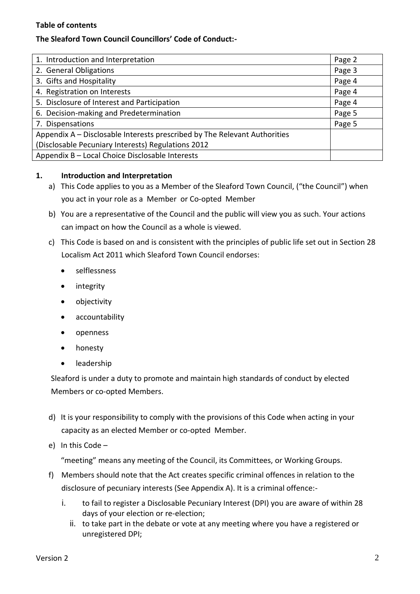### **Table of contents**

# **The Sleaford Town Council Councillors' Code of Conduct:-**

| 1. Introduction and Interpretation                                        | Page 2 |
|---------------------------------------------------------------------------|--------|
| 2. General Obligations                                                    | Page 3 |
| 3. Gifts and Hospitality                                                  | Page 4 |
| 4. Registration on Interests                                              | Page 4 |
| 5. Disclosure of Interest and Participation                               | Page 4 |
| 6. Decision-making and Predetermination                                   | Page 5 |
| 7. Dispensations                                                          | Page 5 |
| Appendix A – Disclosable Interests prescribed by The Relevant Authorities |        |
| (Disclosable Pecuniary Interests) Regulations 2012                        |        |
| Appendix B - Local Choice Disclosable Interests                           |        |

#### **1. Introduction and Interpretation**

- a) This Code applies to you as a Member of the Sleaford Town Council, ("the Council") when you act in your role as a Member or Co-opted Member
- b) You are a representative of the Council and the public will view you as such. Your actions can impact on how the Council as a whole is viewed.
- c) This Code is based on and is consistent with the principles of public life set out in Section 28 Localism Act 2011 which Sleaford Town Council endorses:
	- selflessness
	- integrity
	- objectivity
	- accountability
	- openness
	- honesty
	- leadership

Sleaford is under a duty to promote and maintain high standards of conduct by elected Members or co-opted Members.

- d) It is your responsibility to comply with the provisions of this Code when acting in your capacity as an elected Member or co-opted Member.
- e) In this Code –

"meeting" means any meeting of the Council, its Committees, or Working Groups.

- f) Members should note that the Act creates specific criminal offences in relation to the disclosure of pecuniary interests (See Appendix A). It is a criminal offence:
	- i. to fail to register a Disclosable Pecuniary Interest (DPI) you are aware of within 28 days of your election or re-election;
		- ii. to take part in the debate or vote at any meeting where you have a registered or unregistered DPI;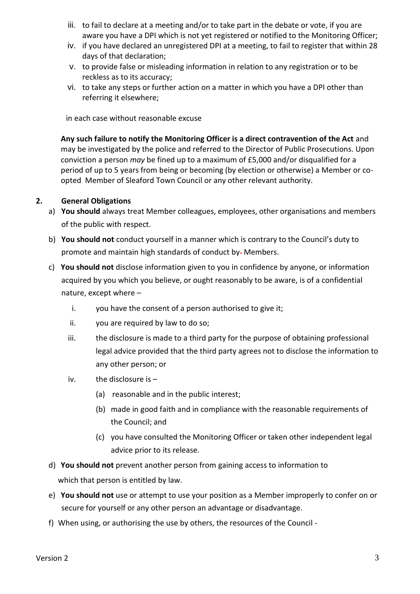- iii. to fail to declare at a meeting and/or to take part in the debate or vote, if you are aware you have a DPI which is not yet registered or notified to the Monitoring Officer;
- iv. if you have declared an unregistered DPI at a meeting, to fail to register that within 28 days of that declaration;
- v. to provide false or misleading information in relation to any registration or to be reckless as to its accuracy;
- vi. to take any steps or further action on a matter in which you have a DPI other than referring it elsewhere;

in each case without reasonable excuse

**Any such failure to notify the Monitoring Officer is a direct contravention of the Act** and may be investigated by the police and referred to the Director of Public Prosecutions. Upon conviction a person *may* be fined up to a maximum of £5,000 and/or disqualified for a period of up to 5 years from being or becoming (by election or otherwise) a Member or coopted Member of Sleaford Town Council or any other relevant authority.

#### **2. General Obligations**

- a) **You should** always treat Member colleagues, employees, other organisations and members of the public with respect.
- b) **You should not** conduct yourself in a manner which is contrary to the Council's duty to promote and maintain high standards of conduct by-Members.
- c) **You should not** disclose information given to you in confidence by anyone, or information acquired by you which you believe, or ought reasonably to be aware, is of a confidential nature, except where –
	- i. you have the consent of a person authorised to give it;
	- ii. you are required by law to do so;
	- iii. the disclosure is made to a third party for the purpose of obtaining professional legal advice provided that the third party agrees not to disclose the information to any other person; or
	- iv. the disclosure is  $-$ 
		- (a) reasonable and in the public interest;
		- (b) made in good faith and in compliance with the reasonable requirements of the Council; and
		- (c) you have consulted the Monitoring Officer or taken other independent legal advice prior to its release.
- d) **You should not** prevent another person from gaining access to information to which that person is entitled by law.
- e) **You should not** use or attempt to use your position as a Member improperly to confer on or secure for yourself or any other person an advantage or disadvantage.
- f) When using, or authorising the use by others, the resources of the Council -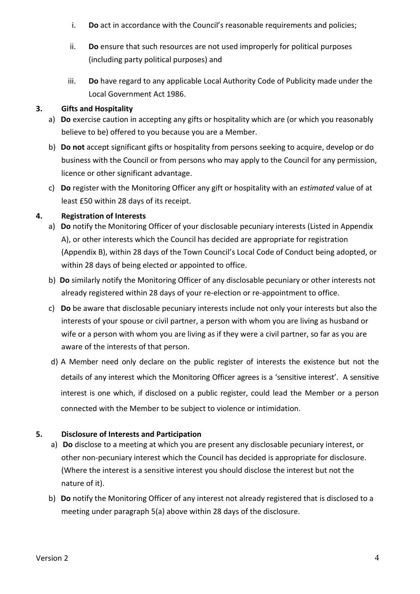- i. **Do** act in accordance with the Council's reasonable requirements and policies;
- ii. **Do** ensure that such resources are not used improperly for political purposes (including party political purposes) and
- iii. **Do** have regard to any applicable Local Authority Code of Publicity made under the Local Government Act 1986.

# **3. Gifts and Hospitality**

- a) **Do** exercise caution in accepting any gifts or hospitality which are (or which you reasonably believe to be) offered to you because you are a Member.
- b) **Do not** accept significant gifts or hospitality from persons seeking to acquire, develop or do business with the Council or from persons who may apply to the Council for any permission, licence or other significant advantage.
- c) **Do** register with the Monitoring Officer any gift or hospitality with an *estimated* value of at least £50 within 28 days of its receipt.

# **4. Registration of Interests**

- a) **Do** notify the Monitoring Officer of your disclosable pecuniary interests (Listed in Appendix A), or other interests which the Council has decided are appropriate for registration (Appendix B), within 28 days of the Town Council's Local Code of Conduct being adopted, or within 28 days of being elected or appointed to office.
- b) **Do** similarly notify the Monitoring Officer of any disclosable pecuniary or other interests not already registered within 28 days of your re-election or re-appointment to office.
- c) **Do** be aware that disclosable pecuniary interests include not only your interests but also the interests of your spouse or civil partner, a person with whom you are living as husband or wife or a person with whom you are living as if they were a civil partner, so far as you are aware of the interests of that person.
- d) A Member need only declare on the public register of interests the existence but not the details of any interest which the Monitoring Officer agrees is a 'sensitive interest'. A sensitive interest is one which, if disclosed on a public register, could lead the Member or a person connected with the Member to be subject to violence or intimidation.

# **5. Disclosure of Interests and Participation**

- a) **Do** disclose to a meeting at which you are present any disclosable pecuniary interest, or other non-pecuniary interest which the Council has decided is appropriate for disclosure. (Where the interest is a sensitive interest you should disclose the interest but not the nature of it).
- b) **Do** notify the Monitoring Officer of any interest not already registered that is disclosed to a meeting under paragraph 5(a) above within 28 days of the disclosure.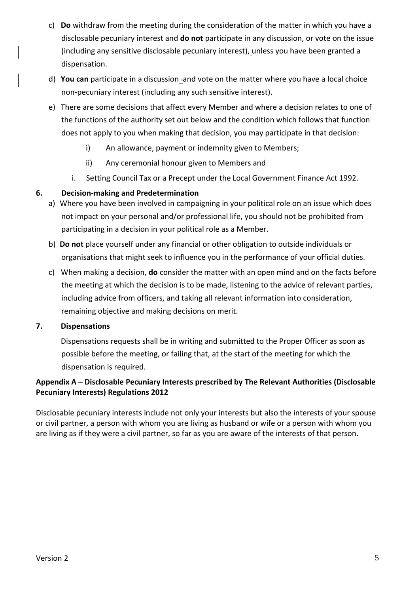- c) **Do** withdraw from the meeting during the consideration of the matter in which you have a disclosable pecuniary interest and **do not** participate in any discussion, or vote on the issue (including any sensitive disclosable pecuniary interest), unless you have been granted a dispensation.
- d) **You can** participate in a discussion and vote on the matter where you have a local choice non-pecuniary interest (including any such sensitive interest).
- e) There are some decisions that affect every Member and where a decision relates to one of the functions of the authority set out below and the condition which follows that function does not apply to you when making that decision, you may participate in that decision:
	- i) An allowance, payment or indemnity given to Members;
	- ii) Any ceremonial honour given to Members and
	- i. Setting Council Tax or a Precept under the Local Government Finance Act 1992.

# **6. Decision-making and Predetermination**

- a) Where you have been involved in campaigning in your political role on an issue which does not impact on your personal and/or professional life, you should not be prohibited from participating in a decision in your political role as a Member.
- b) **Do not** place yourself under any financial or other obligation to outside individuals or organisations that might seek to influence you in the performance of your official duties.
- c) When making a decision, **do** consider the matter with an open mind and on the facts before the meeting at which the decision is to be made, listening to the advice of relevant parties, including advice from officers, and taking all relevant information into consideration, remaining objective and making decisions on merit.

# **7. Dispensations**

Dispensations requests shall be in writing and submitted to the Proper Officer as soon as possible before the meeting, or failing that, at the start of the meeting for which the dispensation is required.

# **Appendix A – Disclosable Pecuniary Interests prescribed by The Relevant Authorities (Disclosable Pecuniary Interests) Regulations 2012**

Disclosable pecuniary interests include not only your interests but also the interests of your spouse or civil partner, a person with whom you are living as husband or wife or a person with whom you are living as if they were a civil partner, so far as you are aware of the interests of that person.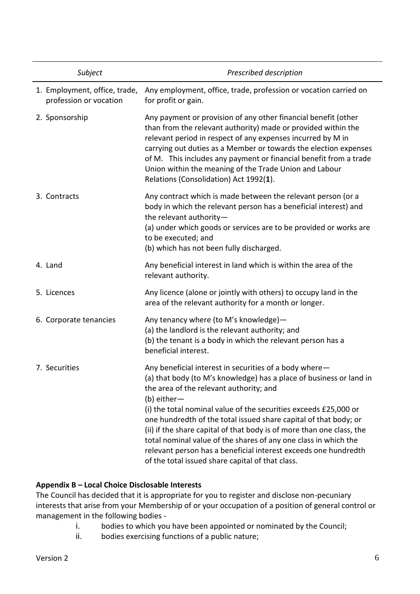| Subject                                                 | Prescribed description                                                                                                                                                                                                                                                                                                                                                                                                                                                                                                                                                                               |
|---------------------------------------------------------|------------------------------------------------------------------------------------------------------------------------------------------------------------------------------------------------------------------------------------------------------------------------------------------------------------------------------------------------------------------------------------------------------------------------------------------------------------------------------------------------------------------------------------------------------------------------------------------------------|
| 1. Employment, office, trade,<br>profession or vocation | Any employment, office, trade, profession or vocation carried on<br>for profit or gain.                                                                                                                                                                                                                                                                                                                                                                                                                                                                                                              |
| 2. Sponsorship                                          | Any payment or provision of any other financial benefit (other<br>than from the relevant authority) made or provided within the<br>relevant period in respect of any expenses incurred by M in<br>carrying out duties as a Member or towards the election expenses<br>of M. This includes any payment or financial benefit from a trade<br>Union within the meaning of the Trade Union and Labour<br>Relations (Consolidation) Act 1992(1).                                                                                                                                                          |
| 3. Contracts                                            | Any contract which is made between the relevant person (or a<br>body in which the relevant person has a beneficial interest) and<br>the relevant authority-<br>(a) under which goods or services are to be provided or works are<br>to be executed; and<br>(b) which has not been fully discharged.                                                                                                                                                                                                                                                                                                  |
| 4. Land                                                 | Any beneficial interest in land which is within the area of the<br>relevant authority.                                                                                                                                                                                                                                                                                                                                                                                                                                                                                                               |
| 5. Licences                                             | Any licence (alone or jointly with others) to occupy land in the<br>area of the relevant authority for a month or longer.                                                                                                                                                                                                                                                                                                                                                                                                                                                                            |
| 6. Corporate tenancies                                  | Any tenancy where (to M's knowledge)-<br>(a) the landlord is the relevant authority; and<br>(b) the tenant is a body in which the relevant person has a<br>beneficial interest.                                                                                                                                                                                                                                                                                                                                                                                                                      |
| 7. Securities                                           | Any beneficial interest in securities of a body where-<br>(a) that body (to M's knowledge) has a place of business or land in<br>the area of the relevant authority; and<br>$(b)$ either-<br>(i) the total nominal value of the securities exceeds £25,000 or<br>one hundredth of the total issued share capital of that body; or<br>(ii) if the share capital of that body is of more than one class, the<br>total nominal value of the shares of any one class in which the<br>relevant person has a beneficial interest exceeds one hundredth<br>of the total issued share capital of that class. |

# **Appendix B – Local Choice Disclosable Interests**

The Council has decided that it is appropriate for you to register and disclose non-pecuniary interests that arise from your Membership of or your occupation of a position of general control or management in the following bodies -

- i. bodies to which you have been appointed or nominated by the Council;
- ii. bodies exercising functions of a public nature;